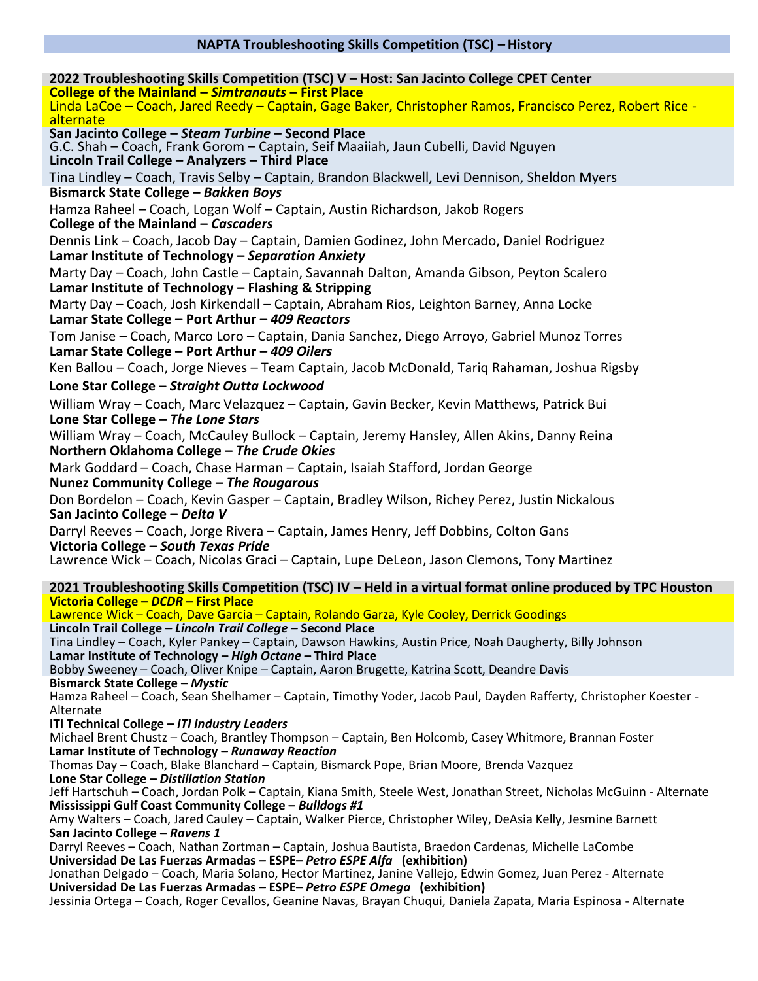# **NAPTA Troubleshooting Skills Competition (TSC) – History**

**2022 Troubleshooting Skills Competition (TSC) V – Host: San Jacinto College CPET Center College of the Mainland –** *Simtranauts* **– First Place** Linda LaCoe – Coach, Jared Reedy – Captain, Gage Baker, Christopher Ramos, Francisco Perez, Robert Rice alternate **San Jacinto College –** *Steam Turbine* **– Second Place** G.C. Shah – Coach, Frank Gorom – Captain, Seif Maaiiah, Jaun Cubelli, David Nguyen **Lincoln Trail College – Analyzers – Third Place**  Tina Lindley – Coach, Travis Selby – Captain, Brandon Blackwell, Levi Dennison, Sheldon Myers **Bismarck State College –** *Bakken Boys* Hamza Raheel – Coach, Logan Wolf – Captain, Austin Richardson, Jakob Rogers **College of the Mainland –** *Cascaders* Dennis Link – Coach, Jacob Day – Captain, Damien Godinez, John Mercado, Daniel Rodriguez **Lamar Institute of Technology –** *Separation Anxiety* Marty Day – Coach, John Castle – Captain, Savannah Dalton, Amanda Gibson, Peyton Scalero **Lamar Institute of Technology – Flashing & Stripping** Marty Day – Coach, Josh Kirkendall – Captain, Abraham Rios, Leighton Barney, Anna Locke **Lamar State College – Port Arthur –** *409 Reactors* Tom Janise – Coach, Marco Loro – Captain, Dania Sanchez, Diego Arroyo, Gabriel Munoz Torres **Lamar State College – Port Arthur –** *409 Oilers* Ken Ballou – Coach, Jorge Nieves – Team Captain, Jacob McDonald, Tariq Rahaman, Joshua Rigsby **Lone Star College –** *Straight Outta Lockwood* William Wray – Coach, Marc Velazquez – Captain, Gavin Becker, Kevin Matthews, Patrick Bui **Lone Star College –** *The Lone Stars* William Wray – Coach, McCauley Bullock – Captain, Jeremy Hansley, Allen Akins, Danny Reina **Northern Oklahoma College –** *The Crude Okies* Mark Goddard – Coach, Chase Harman – Captain, Isaiah Stafford, Jordan George **Nunez Community College –** *The Rougarous* Don Bordelon – Coach, Kevin Gasper – Captain, Bradley Wilson, Richey Perez, Justin Nickalous **San Jacinto College –** *Delta V* Darryl Reeves – Coach, Jorge Rivera – Captain, James Henry, Jeff Dobbins, Colton Gans **Victoria College –** *South Texas Pride* Lawrence Wick – Coach, Nicolas Graci – Captain, Lupe DeLeon, Jason Clemons, Tony Martinez **2021 Troubleshooting Skills Competition (TSC) IV – Held in a virtual format online produced by TPC Houston Victoria College –** *DCDR* **– First Place** Lawrence Wick – Coach, Dave Garcia – Captain, Rolando Garza, Kyle Cooley, Derrick Goodings **Lincoln Trail College –** *Lincoln Trail College* **– Second Place** Tina Lindley – Coach, Kyler Pankey – Captain, Dawson Hawkins, Austin Price, Noah Daugherty, Billy Johnson **Lamar Institute of Technology –** *High Octane* **– Third Place** Bobby Sweeney – Coach, Oliver Knipe – Captain, Aaron Brugette, Katrina Scott, Deandre Davis **Bismarck State College –** *Mystic* Hamza Raheel – Coach, Sean Shelhamer – Captain, Timothy Yoder, Jacob Paul, Dayden Rafferty, Christopher Koester - Alternate **ITI Technical College –** *ITI Industry Leaders* Michael Brent Chustz – Coach, Brantley Thompson – Captain, Ben Holcomb, Casey Whitmore, Brannan Foster **Lamar Institute of Technology –** *Runaway Reaction* Thomas Day – Coach, Blake Blanchard – Captain, Bismarck Pope, Brian Moore, Brenda Vazquez **Lone Star College –** *Distillation Station* Jeff Hartschuh – Coach, Jordan Polk – Captain, Kiana Smith, Steele West, Jonathan Street, Nicholas McGuinn - Alternate **Mississippi Gulf Coast Community College –** *Bulldogs #1* Amy Walters – Coach, Jared Cauley – Captain, Walker Pierce, Christopher Wiley, DeAsia Kelly, Jesmine Barnett **San Jacinto College –** *Ravens 1* Darryl Reeves – Coach, Nathan Zortman – Captain, Joshua Bautista, Braedon Cardenas, Michelle LaCombe **Universidad De Las Fuerzas Armadas – ESPE–** *Petro ESPE Alfa* **(exhibition)** Jonathan Delgado – Coach, Maria Solano, Hector Martinez, Janine Vallejo, Edwin Gomez, Juan Perez - Alternate **Universidad De Las Fuerzas Armadas – ESPE–** *Petro ESPE Omega* **(exhibition)** Jessinia Ortega – Coach, Roger Cevallos, Geanine Navas, Brayan Chuqui, Daniela Zapata, Maria Espinosa - Alternate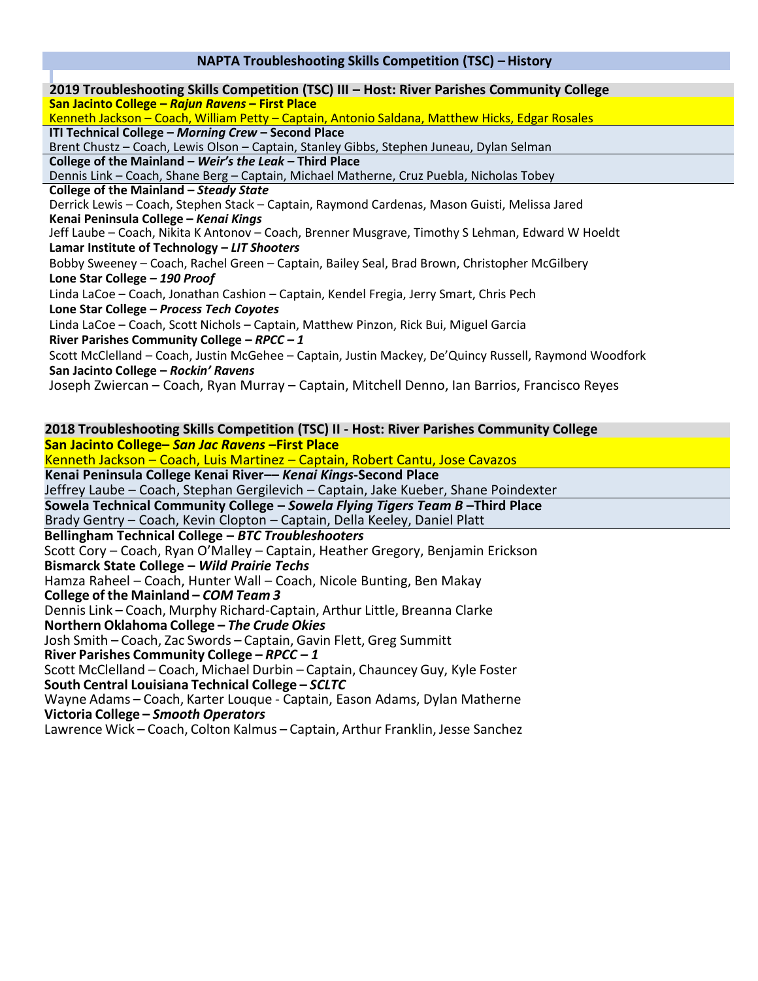# **NAPTA Troubleshooting Skills Competition (TSC) – History**

| 2019 Troubleshooting Skills Competition (TSC) III - Host: River Parishes Community College             |
|--------------------------------------------------------------------------------------------------------|
| San Jacinto College - Rajun Ravens - First Place                                                       |
| Kenneth Jackson - Coach, William Petty - Captain, Antonio Saldana, Matthew Hicks, Edgar Rosales        |
| ITI Technical College - Morning Crew - Second Place                                                    |
| Brent Chustz - Coach, Lewis Olson - Captain, Stanley Gibbs, Stephen Juneau, Dylan Selman               |
| College of the Mainland - Weir's the Leak - Third Place                                                |
| Dennis Link - Coach, Shane Berg - Captain, Michael Matherne, Cruz Puebla, Nicholas Tobey               |
| College of the Mainland - Steady State                                                                 |
| Derrick Lewis - Coach, Stephen Stack - Captain, Raymond Cardenas, Mason Guisti, Melissa Jared          |
| Kenai Peninsula College - Kenai Kings                                                                  |
| Jeff Laube – Coach, Nikita K Antonov – Coach, Brenner Musgrave, Timothy S Lehman, Edward W Hoeldt      |
| Lamar Institute of Technology - LIT Shooters                                                           |
| Bobby Sweeney - Coach, Rachel Green - Captain, Bailey Seal, Brad Brown, Christopher McGilbery          |
| Lone Star College - 190 Proof                                                                          |
| Linda LaCoe – Coach, Jonathan Cashion – Captain, Kendel Fregia, Jerry Smart, Chris Pech                |
| Lone Star College - Process Tech Coyotes                                                               |
| Linda LaCoe - Coach, Scott Nichols - Captain, Matthew Pinzon, Rick Bui, Miguel Garcia                  |
| River Parishes Community College - RPCC - 1                                                            |
| Scott McClelland - Coach, Justin McGehee - Captain, Justin Mackey, De'Quincy Russell, Raymond Woodfork |
| San Jacinto College - Rockin' Ravens                                                                   |
| Joseph Zwiercan – Coach, Ryan Murray – Captain, Mitchell Denno, Ian Barrios, Francisco Reyes           |
|                                                                                                        |
|                                                                                                        |
| 2018 Troubleshooting Skills Competition (TSC) II - Host: River Parishes Community College              |

**San Jacinto College–** *San Jac Ravens* **–First Place** Kenneth Jackson – Coach, Luis Martinez – Captain, Robert Cantu, Jose Cavazos **Kenai Peninsula College Kenai River––** *Kenai Kings***-Second Place** Jeffrey Laube – Coach, Stephan Gergilevich – Captain, Jake Kueber, Shane Poindexter **Sowela Technical Community College –** *Sowela Flying Tigers Team B* **–Third Place** Brady Gentry – Coach, Kevin Clopton – Captain, Della Keeley, Daniel Platt **Bellingham Technical College –** *BTC Troubleshooters* Scott Cory – Coach, Ryan O'Malley – Captain, Heather Gregory, Benjamin Erickson **Bismarck State College –** *Wild Prairie Techs* Hamza Raheel – Coach, Hunter Wall – Coach, Nicole Bunting, Ben Makay **College of the Mainland –** *COM Team 3* Dennis Link – Coach, Murphy Richard-Captain, Arthur Little, Breanna Clarke **Northern Oklahoma College –** *The Crude Okies* Josh Smith – Coach, Zac Swords – Captain, Gavin Flett, Greg Summitt **River Parishes Community College –** *RPCC – 1* Scott McClelland – Coach, Michael Durbin – Captain, Chauncey Guy, Kyle Foster **South Central Louisiana Technical College –** *SCLTC* Wayne Adams – Coach, Karter Louque - Captain, Eason Adams, Dylan Matherne **Victoria College –** *Smooth Operators* Lawrence Wick – Coach, Colton Kalmus – Captain, Arthur Franklin, Jesse Sanchez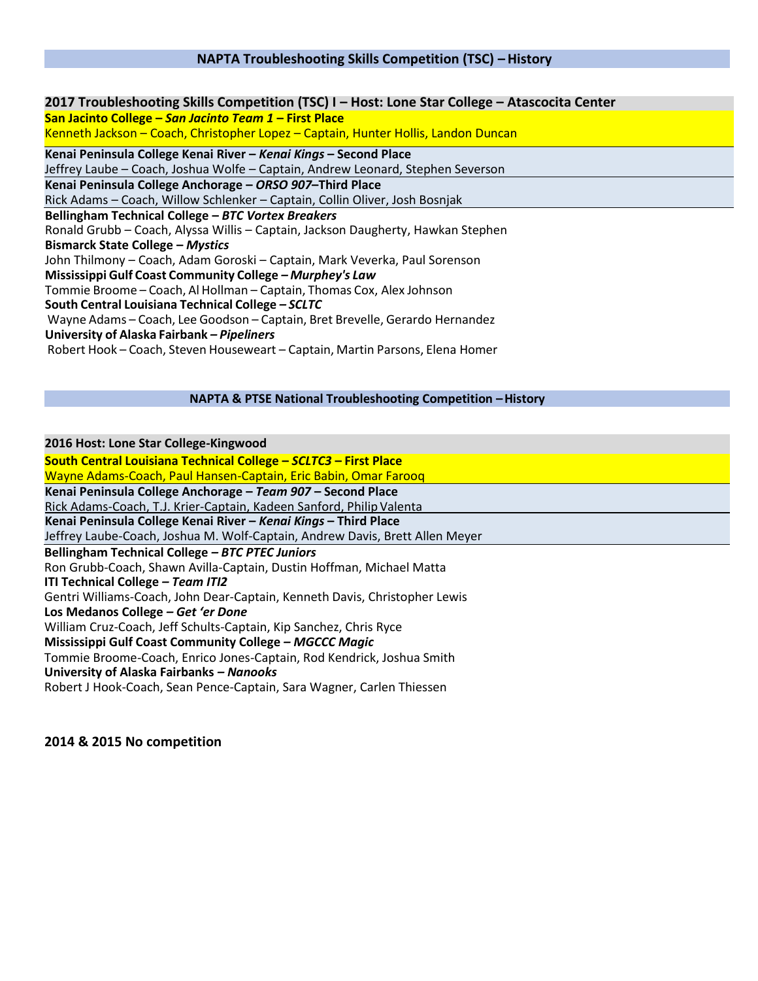# **NAPTA Troubleshooting Skills Competition (TSC) – History**

| 2017 Troubleshooting Skills Competition (TSC) I - Host: Lone Star College - Atascocita Center |
|-----------------------------------------------------------------------------------------------|
| San Jacinto College - San Jacinto Team 1 - First Place                                        |
| Kenneth Jackson - Coach, Christopher Lopez - Captain, Hunter Hollis, Landon Duncan            |
| Kenai Peninsula College Kenai River - Kenai Kings - Second Place                              |
| Jeffrey Laube - Coach, Joshua Wolfe - Captain, Andrew Leonard, Stephen Severson               |
| Kenai Peninsula College Anchorage - ORSO 907-Third Place                                      |
| Rick Adams - Coach, Willow Schlenker - Captain, Collin Oliver, Josh Bosnjak                   |
| Bellingham Technical College - BTC Vortex Breakers                                            |
| Ronald Grubb - Coach, Alyssa Willis - Captain, Jackson Daugherty, Hawkan Stephen              |
| <b>Bismarck State College - Mystics</b>                                                       |
| John Thilmony - Coach, Adam Goroski - Captain, Mark Veverka, Paul Sorenson                    |
| Mississippi Gulf Coast Community College - Murphey's Law                                      |
| Tommie Broome – Coach, Al Hollman – Captain, Thomas Cox, Alex Johnson                         |
| South Central Louisiana Technical College - SCLTC                                             |
| Wayne Adams - Coach, Lee Goodson - Captain, Bret Brevelle, Gerardo Hernandez                  |
| University of Alaska Fairbank - Pipeliners                                                    |
| Robert Hook - Coach, Steven Houseweart - Captain, Martin Parsons, Elena Homer                 |
|                                                                                               |

### **NAPTA & PTSE National Troubleshooting Competition –History**

**2016 Host: Lone Star College-Kingwood South Central Louisiana Technical College –** *SCLTC3* **– First Place** Wayne Adams-Coach, Paul Hansen-Captain, Eric Babin, Omar Farooq **Kenai Peninsula College Anchorage –** *Team 907* **– Second Place** Rick Adams-Coach, T.J. Krier-Captain, Kadeen Sanford, Philip Valenta **Kenai Peninsula College Kenai River –** *Kenai Kings* **– Third Place** Jeffrey Laube-Coach, Joshua M. Wolf-Captain, Andrew Davis, Brett Allen Meyer **Bellingham Technical College** *– BTC PTEC Juniors* Ron Grubb-Coach, Shawn Avilla-Captain, Dustin Hoffman, Michael Matta **ITI Technical College** *– Team ITI2* Gentri Williams-Coach, John Dear-Captain, Kenneth Davis, Christopher Lewis **Los Medanos College** *– Get 'er Done* William Cruz-Coach, Jeff Schults-Captain, Kip Sanchez, Chris Ryce **Mississippi Gulf Coast Community College** *– MGCCC Magic* Tommie Broome-Coach, Enrico Jones-Captain, Rod Kendrick, Joshua Smith **University of Alaska Fairbanks** *– Nanooks* Robert J Hook-Coach, Sean Pence-Captain, Sara Wagner, Carlen Thiessen

## **2014 & 2015 No competition**